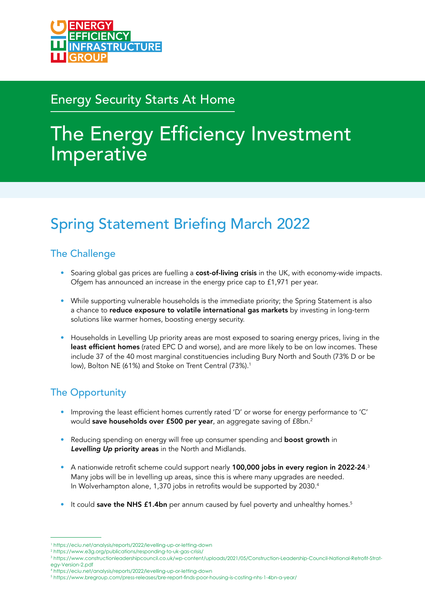## Energy Security Starts At Home

# The Energy Efficiency Investment Imperative

## Spring Statement Briefing March 2022

#### The Challenge

- Soaring global gas prices are fuelling a **cost-of-living crisis** in the UK, with economy-wide impacts. Ofgem has announced an increase in the energy price cap to £1,971 per year.
- While supporting vulnerable households is the immediate priority; the Spring Statement is also a chance to reduce exposure to volatile international gas markets by investing in long-term solutions like warmer homes, boosting energy security.
- Households in Levelling Up priority areas are most exposed to soaring energy prices, living in the least efficient homes (rated EPC D and worse), and are more likely to be on low incomes. These include 37 of the 40 most marginal constituencies including Bury North and South (73% D or be low), Bolton NE (61%) and Stoke on Trent Central (73%).<sup>1</sup>

### The Opportunity

- Improving the least efficient homes currently rated 'D' or worse for energy performance to 'C' would save households over £500 per year, an aggregate saving of £8bn.<sup>2</sup>
- Reducing spending on energy will free up consumer spending and **boost growth** in *Levelling Up* priority areas in the North and Midlands.
- $\bullet$  A nationwide retrofit scheme could support nearly **100,000 jobs in every region in 2022-24**.  $^3$  Many jobs will be in levelling up areas, since this is where many upgrades are needed. In Wolverhampton alone, 1,370 jobs in retrofits would be supported by 2030.<sup>4</sup>
- $\bullet$  It could save the NHS £1.4bn per annum caused by fuel poverty and unhealthy homes.<sup>5</sup>

4 <https://eciu.net/analysis/reports/2022/levelling-up-or-letting-down>

<sup>1</sup> <https://eciu.net/analysis/reports/2022/levelling-up-or-letting-down>

<sup>2</sup> <https://www.e3g.org/publications/responding-to-uk-gas-crisis/>

<sup>3</sup>  [https://www.constructionleadershipcouncil.co.uk/wp-content/uploads/2021/05/Construction-Leadership-Council-National-Retrofit-Strat](https://www.constructionleadershipcouncil.co.uk/wp-content/uploads/2021/05/Construction-Leadership-Council-National-Retrofit-Strat�egy-Version-2.pdf)egy[-Version-2.pdf](https://www.constructionleadershipcouncil.co.uk/wp-content/uploads/2021/05/Construction-Leadership-Council-National-Retrofit-Strat�egy-Version-2.pdf) 

<sup>5</sup> <https://www.bregroup.com/press-releases/bre-report-finds-poor-housing-is-costing-nhs-1-4bn-a-year/>